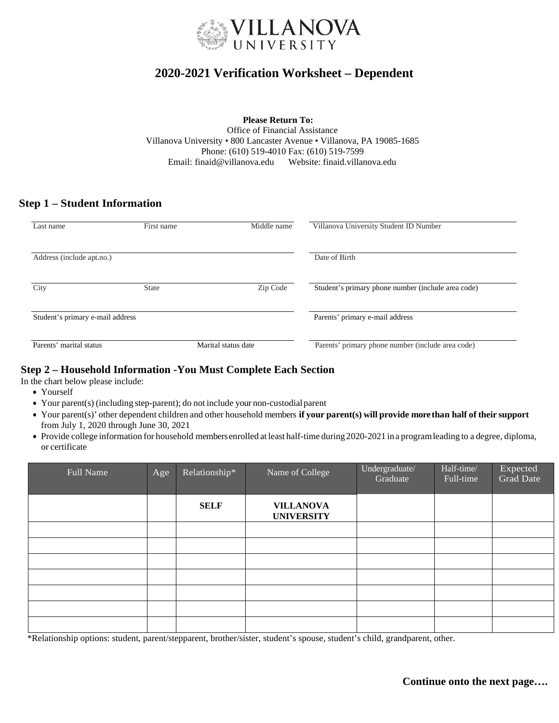

# **2020-20***2***1 Verification Worksheet – Dependent**

**Please Return To:** Office of Financial Assistance Villanova University • 800 Lancaster Avenue • Villanova, PA 19085-1685 Phone: (610) 519-4010 Fax: (610) 519-7599 Email: [finaid@villanova.edu](mailto:finaid.award@villanova.edu) Websit[e: finaid.villanova.edu](http://www.finaid.villanova.edu/)

# **Step 1 – Student Information**

| Last name                        | First name   | Middle name                     | Villanova University Student ID Number             |  |
|----------------------------------|--------------|---------------------------------|----------------------------------------------------|--|
| Address (include apt.no.)        |              |                                 | Date of Birth                                      |  |
| City                             | <b>State</b> | Zip Code                        | Student's primary phone number (include area code) |  |
| Student's primary e-mail address |              | Parents' primary e-mail address |                                                    |  |
| Parents' marital status          |              | Marital status date             | Parents' primary phone number (include area code)  |  |

### **Step 2 – Household Information -You Must Complete Each Section**

In the chart below please include:

- Yourself
- Your parent(s) (including step-parent); do not include your non-custodialparent
- Your parent(s)' other dependent children and other household members **if your parent(s) will provide more than half of their support** from July 1, 2020 through June 30, 2021
- Provide college information for household membersenrolled at least half-time during 2020-2021 in a programleading to a degree, diploma, or certificate

| Full Name | Age | Relationship* | Name of College                       | Undergraduate/<br>Graduate | Half-time/<br>Full-time | Expected<br>Grad Date |
|-----------|-----|---------------|---------------------------------------|----------------------------|-------------------------|-----------------------|
|           |     | <b>SELF</b>   | <b>VILLANOVA</b><br><b>UNIVERSITY</b> |                            |                         |                       |
|           |     |               |                                       |                            |                         |                       |
|           |     |               |                                       |                            |                         |                       |
|           |     |               |                                       |                            |                         |                       |
|           |     |               |                                       |                            |                         |                       |
|           |     |               |                                       |                            |                         |                       |
|           |     |               |                                       |                            |                         |                       |
|           |     |               |                                       |                            |                         |                       |

\*Relationship options: student, parent/stepparent, brother/sister, student's spouse, student's child, grandparent, other.